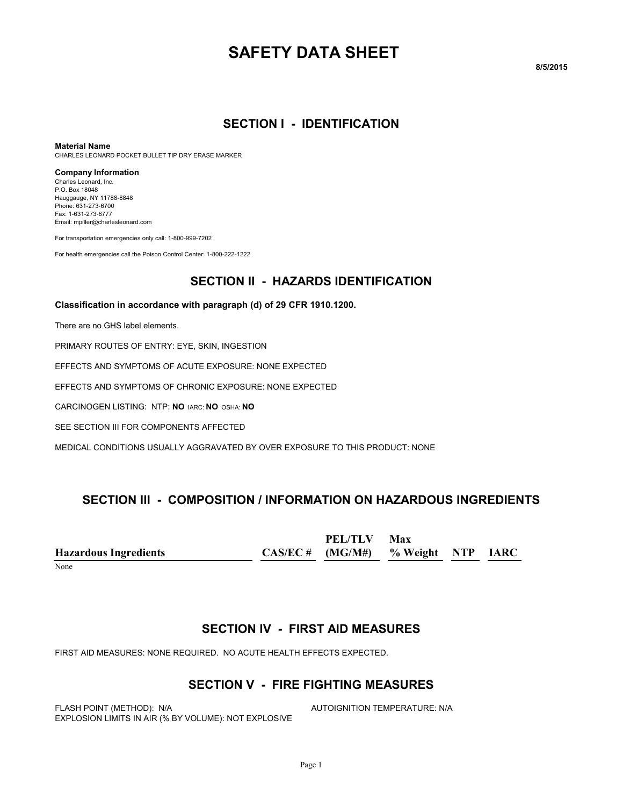# **SAFETY DATA SHEET**

#### **8/5/2015**

#### **SECTION I - IDENTIFICATION**

#### **Material Name**

CHARLES LEONARD POCKET BULLET TIP DRY ERASE MARKER

#### **Company Information**

Charles Leonard, Inc. P.O. Box 18048 Hauggauge, NY 11788-8848 Phone: 631-273-6700 Fax: 1-631-273-6777 Email: mpiller@charlesleonard.com

For transportation emergencies only call: 1-800-999-7202

For health emergencies call the Poison Control Center: 1-800-222-1222

#### **SECTION II - HAZARDS IDENTIFICATION**

#### **Classification in accordance with paragraph (d) of 29 CFR 1910.1200.**

There are no GHS label elements.

PRIMARY ROUTES OF ENTRY: EYE, SKIN, INGESTION

EFFECTS AND SYMPTOMS OF ACUTE EXPOSURE: NONE EXPECTED

EFFECTS AND SYMPTOMS OF CHRONIC EXPOSURE: NONE EXPECTED

CARCINOGEN LISTING: NTP: **NO** IARC: **NO** OSHA: **NO**

SEE SECTION III FOR COMPONENTS AFFECTED

MEDICAL CONDITIONS USUALLY AGGRAVATED BY OVER EXPOSURE TO THIS PRODUCT: NONE

#### **SECTION III - COMPOSITION / INFORMATION ON HAZARDOUS INGREDIENTS**

|                              | <b>PEL/TLV</b>                       | Max |  |
|------------------------------|--------------------------------------|-----|--|
| <b>Hazardous Ingredients</b> | $CAS/EC$ # (MG/M#) % Weight NTP IARC |     |  |

None when the contract of the contract of the contract of the contract of the contract of the contract of the contract of the contract of the contract of the contract of the contract of the contract of the contract of the

#### **SECTION IV - FIRST AID MEASURES**

FIRST AID MEASURES: NONE REQUIRED. NO ACUTE HEALTH EFFECTS EXPECTED.

#### **SECTION V - FIRE FIGHTING MEASURES**

FLASH POINT (METHOD): N/A **AUTOIGNITION TEMPERATURE: N/A** EXPLOSION LIMITS IN AIR (% BY VOLUME): NOT EXPLOSIVE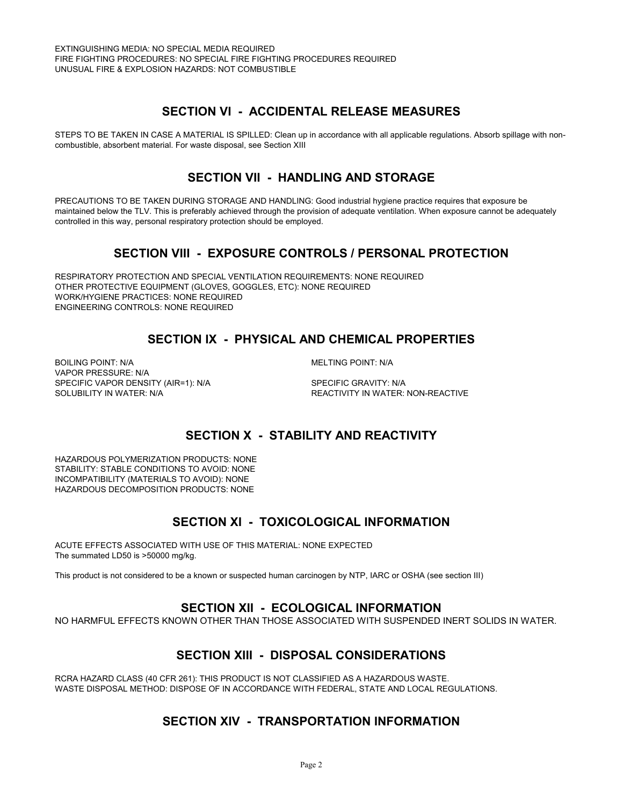# **SECTION VI - ACCIDENTAL RELEASE MEASURES**

STEPS TO BE TAKEN IN CASE A MATERIAL IS SPILLED: Clean up in accordance with all applicable regulations. Absorb spillage with noncombustible, absorbent material. For waste disposal, see Section XIII

### **SECTION VII - HANDLING AND STORAGE**

PRECAUTIONS TO BE TAKEN DURING STORAGE AND HANDLING: Good industrial hygiene practice requires that exposure be maintained below the TLV. This is preferably achieved through the provision of adequate ventilation. When exposure cannot be adequately controlled in this way, personal respiratory protection should be employed.

# **SECTION VIII - EXPOSURE CONTROLS / PERSONAL PROTECTION**

RESPIRATORY PROTECTION AND SPECIAL VENTILATION REQUIREMENTS: NONE REQUIRED OTHER PROTECTIVE EQUIPMENT (GLOVES, GOGGLES, ETC): NONE REQUIRED WORK/HYGIENE PRACTICES: NONE REQUIRED ENGINEERING CONTROLS: NONE REQUIRED

# **SECTION IX - PHYSICAL AND CHEMICAL PROPERTIES**

BOILING POINT: N/A **MELTING POINT: N/A** VAPOR PRESSURE: N/A SPECIFIC VAPOR DENSITY (AIR=1): N/A SPECIFIC GRAVITY: N/A

SOLUBILITY IN WATER: N/A **REACTIVITY IN WATER: NON-REACTIVE** 

# **SECTION X - STABILITY AND REACTIVITY**

HAZARDOUS POLYMERIZATION PRODUCTS: NONE STABILITY: STABLE CONDITIONS TO AVOID: NONE INCOMPATIBILITY (MATERIALS TO AVOID): NONE HAZARDOUS DECOMPOSITION PRODUCTS: NONE

### **SECTION XI - TOXICOLOGICAL INFORMATION**

ACUTE EFFECTS ASSOCIATED WITH USE OF THIS MATERIAL: NONE EXPECTED The summated LD50 is >50000 mg/kg.

This product is not considered to be a known or suspected human carcinogen by NTP, IARC or OSHA (see section III)

#### **SECTION XII - ECOLOGICAL INFORMATION**

NO HARMFUL EFFECTS KNOWN OTHER THAN THOSE ASSOCIATED WITH SUSPENDED INERT SOLIDS IN WATER.

### **SECTION XIII - DISPOSAL CONSIDERATIONS**

RCRA HAZARD CLASS (40 CFR 261): THIS PRODUCT IS NOT CLASSIFIED AS A HAZARDOUS WASTE. WASTE DISPOSAL METHOD: DISPOSE OF IN ACCORDANCE WITH FEDERAL, STATE AND LOCAL REGULATIONS.

### **SECTION XIV - TRANSPORTATION INFORMATION**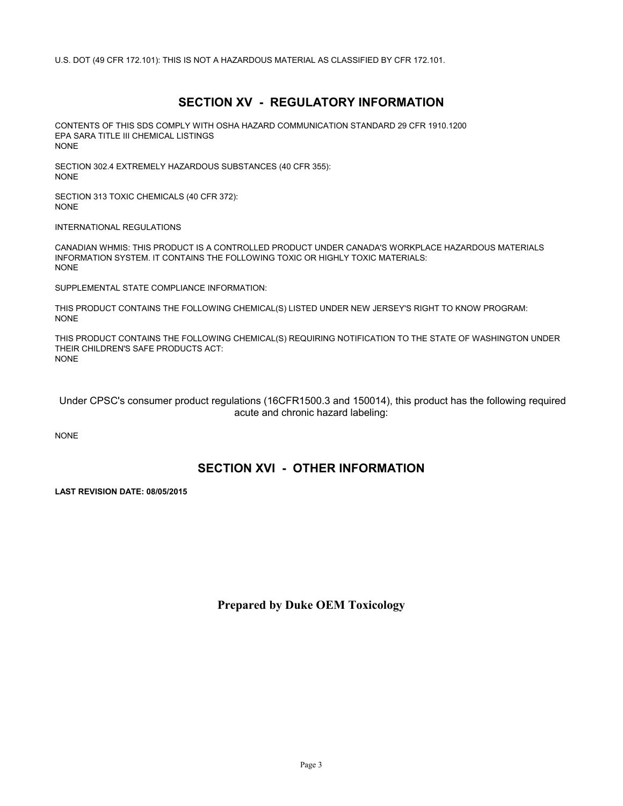U.S. DOT (49 CFR 172.101): THIS IS NOT A HAZARDOUS MATERIAL AS CLASSIFIED BY CFR 172.101.

# **SECTION XV - REGULATORY INFORMATION**

CONTENTS OF THIS SDS COMPLY WITH OSHA HAZARD COMMUNICATION STANDARD 29 CFR 1910.1200 EPA SARA TITLE III CHEMICAL LISTINGS NONE

SECTION 302.4 EXTREMELY HAZARDOUS SUBSTANCES (40 CFR 355): NONE

SECTION 313 TOXIC CHEMICALS (40 CFR 372): NONE

INTERNATIONAL REGULATIONS

CANADIAN WHMIS: THIS PRODUCT IS A CONTROLLED PRODUCT UNDER CANADA'S WORKPLACE HAZARDOUS MATERIALS INFORMATION SYSTEM. IT CONTAINS THE FOLLOWING TOXIC OR HIGHLY TOXIC MATERIALS: NONE

SUPPLEMENTAL STATE COMPLIANCE INFORMATION:

THIS PRODUCT CONTAINS THE FOLLOWING CHEMICAL(S) LISTED UNDER NEW JERSEY'S RIGHT TO KNOW PROGRAM: NONE

THIS PRODUCT CONTAINS THE FOLLOWING CHEMICAL(S) REQUIRING NOTIFICATION TO THE STATE OF WASHINGTON UNDER THEIR CHILDREN'S SAFE PRODUCTS ACT: NONE

 Under CPSC's consumer product regulations (16CFR1500.3 and 150014), this product has the following required acute and chronic hazard labeling:

NONE

### **SECTION XVI - OTHER INFORMATION**

**LAST REVISION DATE: 08/05/2015**

**Prepared by Duke OEM Toxicology**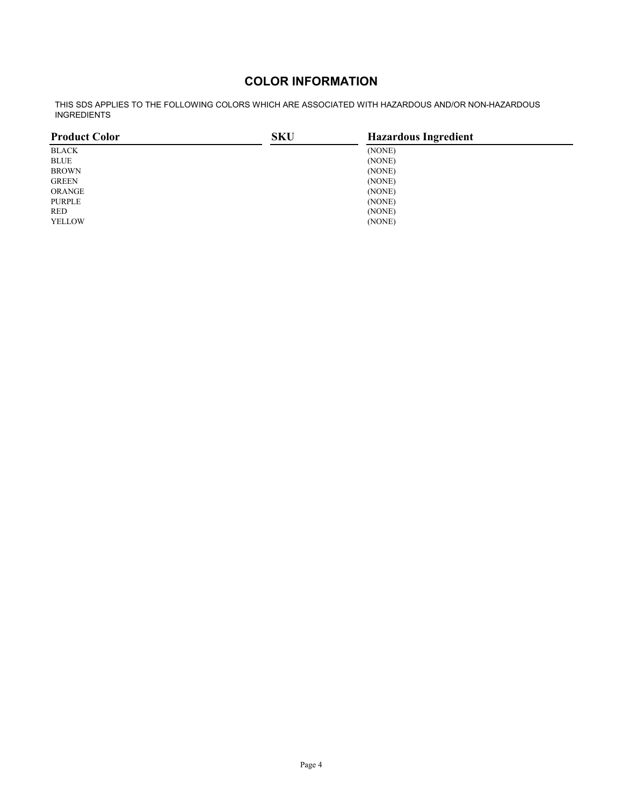# **COLOR INFORMATION**

THIS SDS APPLIES TO THE FOLLOWING COLORS WHICH ARE ASSOCIATED WITH HAZARDOUS AND/OR NON-HAZARDOUS INGREDIENTS

| <b>Product Color</b> | <b>SKU</b> | <b>Hazardous Ingredient</b> |  |
|----------------------|------------|-----------------------------|--|
| BLACK                |            | (NONE)                      |  |
| <b>BLUE</b>          |            | (NONE)                      |  |
| <b>BROWN</b>         |            | (NONE)                      |  |
| <b>GREEN</b>         |            | (NONE)                      |  |
| ORANGE               |            | (NONE)                      |  |
| <b>PURPLE</b>        |            | (NONE)                      |  |
| <b>RED</b>           |            | (NONE)                      |  |
| <b>YELLOW</b>        |            | (NONE)                      |  |